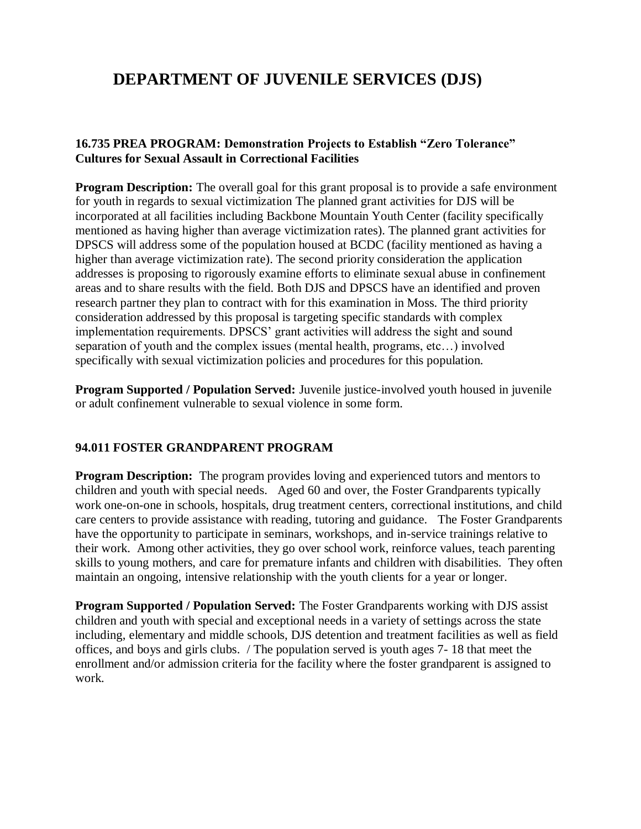## **DEPARTMENT OF JUVENILE SERVICES (DJS)**

## **16.735 PREA PROGRAM: Demonstration Projects to Establish "Zero Tolerance" Cultures for Sexual Assault in Correctional Facilities**

**Program Description:** The overall goal for this grant proposal is to provide a safe environment for youth in regards to sexual victimization The planned grant activities for DJS will be incorporated at all facilities including Backbone Mountain Youth Center (facility specifically mentioned as having higher than average victimization rates). The planned grant activities for DPSCS will address some of the population housed at BCDC (facility mentioned as having a higher than average victimization rate). The second priority consideration the application addresses is proposing to rigorously examine efforts to eliminate sexual abuse in confinement areas and to share results with the field. Both DJS and DPSCS have an identified and proven research partner they plan to contract with for this examination in Moss. The third priority consideration addressed by this proposal is targeting specific standards with complex implementation requirements. DPSCS' grant activities will address the sight and sound separation of youth and the complex issues (mental health, programs, etc…) involved specifically with sexual victimization policies and procedures for this population.

**Program Supported / Population Served:** Juvenile justice-involved youth housed in juvenile or adult confinement vulnerable to sexual violence in some form.

## **94.011 FOSTER GRANDPARENT PROGRAM**

**Program Description:** The program provides loving and experienced tutors and mentors to children and youth with special needs. Aged 60 and over, the Foster Grandparents typically work one-on-one in schools, hospitals, drug treatment centers, correctional institutions, and child care centers to provide assistance with reading, tutoring and guidance. The Foster Grandparents have the opportunity to participate in seminars, workshops, and in-service trainings relative to their work. Among other activities, they go over school work, reinforce values, teach parenting skills to young mothers, and care for premature infants and children with disabilities. They often maintain an ongoing, intensive relationship with the youth clients for a year or longer.

**Program Supported / Population Served:** The Foster Grandparents working with DJS assist children and youth with special and exceptional needs in a variety of settings across the state including, elementary and middle schools, DJS detention and treatment facilities as well as field offices, and boys and girls clubs. / The population served is youth ages 7- 18 that meet the enrollment and/or admission criteria for the facility where the foster grandparent is assigned to work.